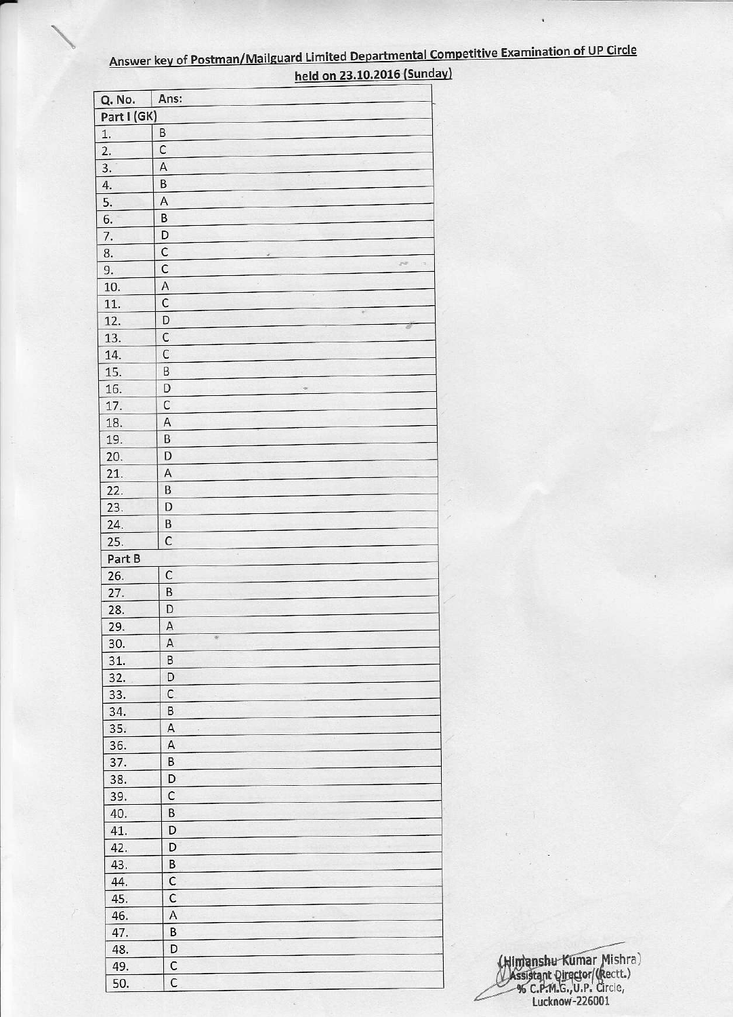| Q. No.           | Ans:                                           |
|------------------|------------------------------------------------|
| Part I (GK)      |                                                |
| 1.               | B                                              |
| 2.               | $\mathsf{C}$                                   |
| $\overline{3}$ . | $\mathsf A$                                    |
| 4.               | B                                              |
| 5.               | Α                                              |
| 6.               | В                                              |
| 7.               | D                                              |
| 8.               | $\mathsf C$                                    |
| 9.               | $\mathcal{M}$<br>$\Rightarrow$<br>$\mathsf{C}$ |
| 10.              | $\mathsf A$                                    |
| 11.              | $\mathsf C$                                    |
|                  | $\omega$<br>D                                  |
| 12.              | 3<br>$\mathsf{C}$                              |
| 13.              |                                                |
| 14.              | $\mathsf C$                                    |
| 15.              | B                                              |
| 16.              | D<br>46                                        |
| 17.              | $\mathsf C$                                    |
| 18.              | $\mathsf A$                                    |
| 19.              | B                                              |
| 20.              | D                                              |
| 21.              | $\mathsf A$                                    |
| 22.              | $\sf B$                                        |
| 23.              | D                                              |
| 24.              | B                                              |
| 25.              | $\mathsf C$                                    |
| Part B           |                                                |
| 26.              | $\mathsf{C}$                                   |
| 27.              | $\sf B$                                        |
| 28.              | D                                              |
| 29.              | $\overline{A}$                                 |
| 30.              | 要<br>A                                         |
| 31.              | B                                              |
| 32.              | D                                              |
| 33.              | $\mathsf{C}$                                   |
| 34.              | B                                              |
| 35.              | A                                              |
| 36.              | A                                              |
| 37.              | B                                              |
| 38.              | D                                              |
| 39.              | C                                              |
| 40.              | B                                              |
| 41.              | D                                              |
| 42.              | D                                              |
| 43.              | B                                              |
| 44.              | $\mathsf C$                                    |
| 45.              | $\mathsf{C}$                                   |
| 46.              | $\mathsf A$                                    |
| 47.              | B                                              |
| 48.              | D                                              |
|                  | $\mathsf C$                                    |
| 49.              | $\mathsf{C}$                                   |
| 50.              |                                                |

 $\overline{\phantom{a}}$ 

## Answer key of Postman/Mailguard Limited Departmental Competitive Examination of UP Circle held on 23.10.2016 (Sunday)

.

(Hindanshu Kumar Mishra)<br>Massistant Qirector/(Rectt.)<br>% C.P.M.G., U.P. Circle,<br>Lucknow-226001